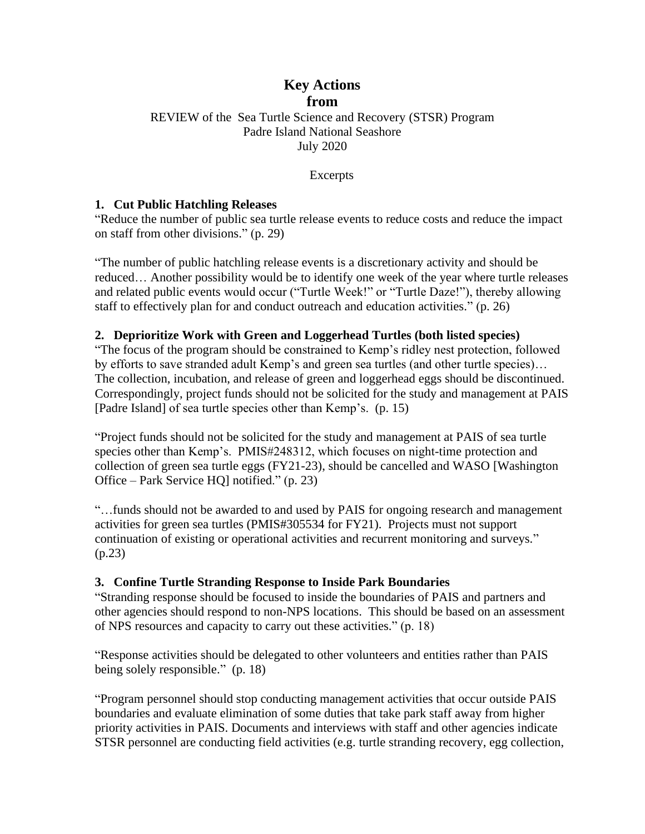### **Key Actions from** REVIEW of the Sea Turtle Science and Recovery (STSR) Program Padre Island National Seashore July 2020

Excerpts

#### **1. Cut Public Hatchling Releases**

"Reduce the number of public sea turtle release events to reduce costs and reduce the impact on staff from other divisions." (p. 29)

"The number of public hatchling release events is a discretionary activity and should be reduced… Another possibility would be to identify one week of the year where turtle releases and related public events would occur ("Turtle Week!" or "Turtle Daze!"), thereby allowing staff to effectively plan for and conduct outreach and education activities." (p. 26)

#### **2. Deprioritize Work with Green and Loggerhead Turtles (both listed species)**

"The focus of the program should be constrained to Kemp's ridley nest protection, followed by efforts to save stranded adult Kemp's and green sea turtles (and other turtle species)... The collection, incubation, and release of green and loggerhead eggs should be discontinued. Correspondingly, project funds should not be solicited for the study and management at PAIS [Padre Island] of sea turtle species other than Kemp's. (p. 15)

"Project funds should not be solicited for the study and management at PAIS of sea turtle species other than Kemp's. PMIS#248312, which focuses on night-time protection and collection of green sea turtle eggs (FY21-23), should be cancelled and WASO [Washington Office – Park Service HQ] notified." (p. 23)

"…funds should not be awarded to and used by PAIS for ongoing research and management activities for green sea turtles (PMIS#305534 for FY21). Projects must not support continuation of existing or operational activities and recurrent monitoring and surveys." (p.23)

#### **3. Confine Turtle Stranding Response to Inside Park Boundaries**

"Stranding response should be focused to inside the boundaries of PAIS and partners and other agencies should respond to non-NPS locations. This should be based on an assessment of NPS resources and capacity to carry out these activities." (p. 18)

"Response activities should be delegated to other volunteers and entities rather than PAIS being solely responsible." (p. 18)

"Program personnel should stop conducting management activities that occur outside PAIS boundaries and evaluate elimination of some duties that take park staff away from higher priority activities in PAIS. Documents and interviews with staff and other agencies indicate STSR personnel are conducting field activities (e.g. turtle stranding recovery, egg collection,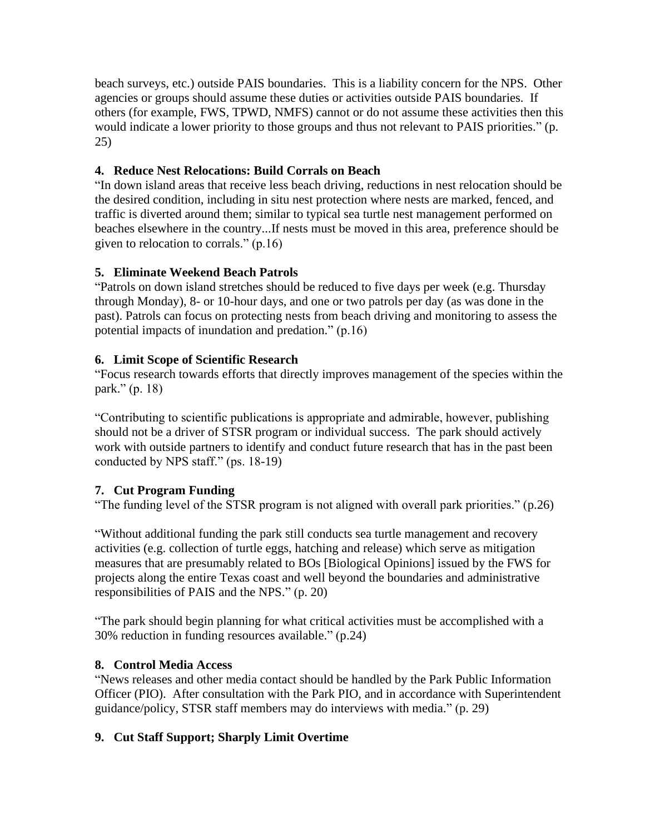beach surveys, etc.) outside PAIS boundaries. This is a liability concern for the NPS. Other agencies or groups should assume these duties or activities outside PAIS boundaries. If others (for example, FWS, TPWD, NMFS) cannot or do not assume these activities then this would indicate a lower priority to those groups and thus not relevant to PAIS priorities." (p. 25)

# **4. Reduce Nest Relocations: Build Corrals on Beach**

"In down island areas that receive less beach driving, reductions in nest relocation should be the desired condition, including in situ nest protection where nests are marked, fenced, and traffic is diverted around them; similar to typical sea turtle nest management performed on beaches elsewhere in the country...If nests must be moved in this area, preference should be given to relocation to corrals." (p.16)

# **5. Eliminate Weekend Beach Patrols**

"Patrols on down island stretches should be reduced to five days per week (e.g. Thursday through Monday), 8- or 10-hour days, and one or two patrols per day (as was done in the past). Patrols can focus on protecting nests from beach driving and monitoring to assess the potential impacts of inundation and predation." (p.16)

# **6. Limit Scope of Scientific Research**

"Focus research towards efforts that directly improves management of the species within the park." (p. 18)

"Contributing to scientific publications is appropriate and admirable, however, publishing should not be a driver of STSR program or individual success. The park should actively work with outside partners to identify and conduct future research that has in the past been conducted by NPS staff." (ps. 18-19)

# **7. Cut Program Funding**

"The funding level of the STSR program is not aligned with overall park priorities." (p.26)

"Without additional funding the park still conducts sea turtle management and recovery activities (e.g. collection of turtle eggs, hatching and release) which serve as mitigation measures that are presumably related to BOs [Biological Opinions] issued by the FWS for projects along the entire Texas coast and well beyond the boundaries and administrative responsibilities of PAIS and the NPS." (p. 20)

"The park should begin planning for what critical activities must be accomplished with a 30% reduction in funding resources available." (p.24)

### **8. Control Media Access**

"News releases and other media contact should be handled by the Park Public Information Officer (PIO). After consultation with the Park PIO, and in accordance with Superintendent guidance/policy, STSR staff members may do interviews with media." (p. 29)

# **9. Cut Staff Support; Sharply Limit Overtime**